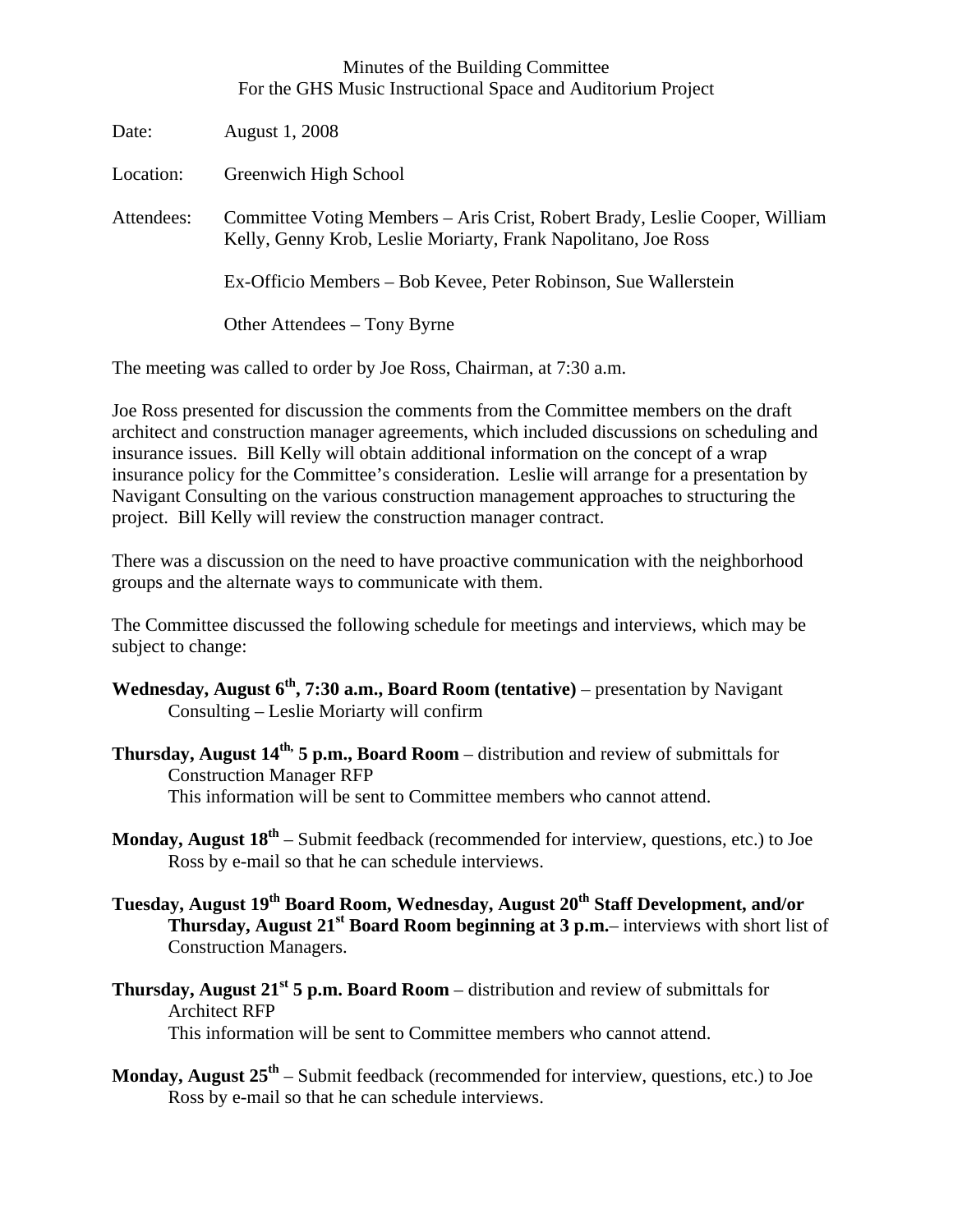## Minutes of the Building Committee For the GHS Music Instructional Space and Auditorium Project

| Date:      | August 1, 2008                                                                                                                                |
|------------|-----------------------------------------------------------------------------------------------------------------------------------------------|
| Location:  | Greenwich High School                                                                                                                         |
| Attendees: | Committee Voting Members – Aris Crist, Robert Brady, Leslie Cooper, William<br>Kelly, Genny Krob, Leslie Moriarty, Frank Napolitano, Joe Ross |
|            | Ex-Officio Members – Bob Kevee, Peter Robinson, Sue Wallerstein                                                                               |
|            | Other Attendees – Tony Byrne                                                                                                                  |

The meeting was called to order by Joe Ross, Chairman, at 7:30 a.m.

Joe Ross presented for discussion the comments from the Committee members on the draft architect and construction manager agreements, which included discussions on scheduling and insurance issues. Bill Kelly will obtain additional information on the concept of a wrap insurance policy for the Committee's consideration. Leslie will arrange for a presentation by Navigant Consulting on the various construction management approaches to structuring the project. Bill Kelly will review the construction manager contract.

There was a discussion on the need to have proactive communication with the neighborhood groups and the alternate ways to communicate with them.

The Committee discussed the following schedule for meetings and interviews, which may be subject to change:

- **Wednesday, August 6th, 7:30 a.m., Board Room (tentative)** presentation by Navigant Consulting – Leslie Moriarty will confirm
- **Thursday, August 14th, 5 p.m., Board Room** distribution and review of submittals for Construction Manager RFP This information will be sent to Committee members who cannot attend.
- **Monday, August 18th** Submit feedback (recommended for interview, questions, etc.) to Joe Ross by e-mail so that he can schedule interviews.
- Tuesday, August 19<sup>th</sup> Board Room, Wednesday, August 20<sup>th</sup> Staff Development, and/or **Thursday, August 21st Board Room beginning at 3 p.m.**– interviews with short list of Construction Managers.
- **Thursday, August 21st 5 p.m. Board Room** distribution and review of submittals for Architect RFP

This information will be sent to Committee members who cannot attend.

**Monday, August 25th** – Submit feedback (recommended for interview, questions, etc.) to Joe Ross by e-mail so that he can schedule interviews.